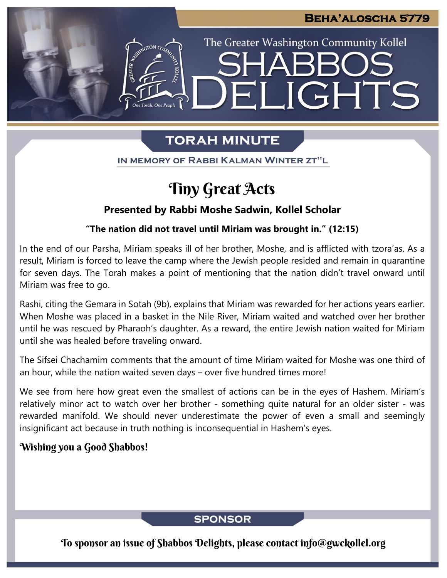The Greater Washington Community Kollel

ELIGHTS

# **TORAH MINUTE**

IN MEMORY OF RABBI KALMAN WINTER ZT"L

# Tiny Great Acts

### **Presented by Rabbi Moshe Sadwin, Kollel Scholar**

#### **"The nation did not travel until Miriam was brought in." (12:15)**

In the end of our Parsha, Miriam speaks ill of her brother, Moshe, and is afflicted with tzora'as. As a result, Miriam is forced to leave the camp where the Jewish people resided and remain in quarantine for seven days. The Torah makes a point of mentioning that the nation didn't travel onward until Miriam was free to go.

Rashi, citing the Gemara in Sotah (9b), explains that Miriam was rewarded for her actions years earlier. When Moshe was placed in a basket in the Nile River, Miriam waited and watched over her brother until he was rescued by Pharaoh's daughter. As a reward, the entire Jewish nation waited for Miriam until she was healed before traveling onward.

The Sifsei Chachamim comments that the amount of time Miriam waited for Moshe was one third of an hour, while the nation waited seven days – over five hundred times more!

We see from here how great even the smallest of actions can be in the eyes of Hashem. Miriam's relatively minor act to watch over her brother - something quite natural for an older sister - was rewarded manifold. We should never underestimate the power of even a small and seemingly insignificant act because in truth nothing is inconsequential in Hashem's eyes.

### Wishing you a Good Shabbos!

### **SPONSOR**

To sponsor an issue of Shabbos Delights, please contact info@gwckollel.org